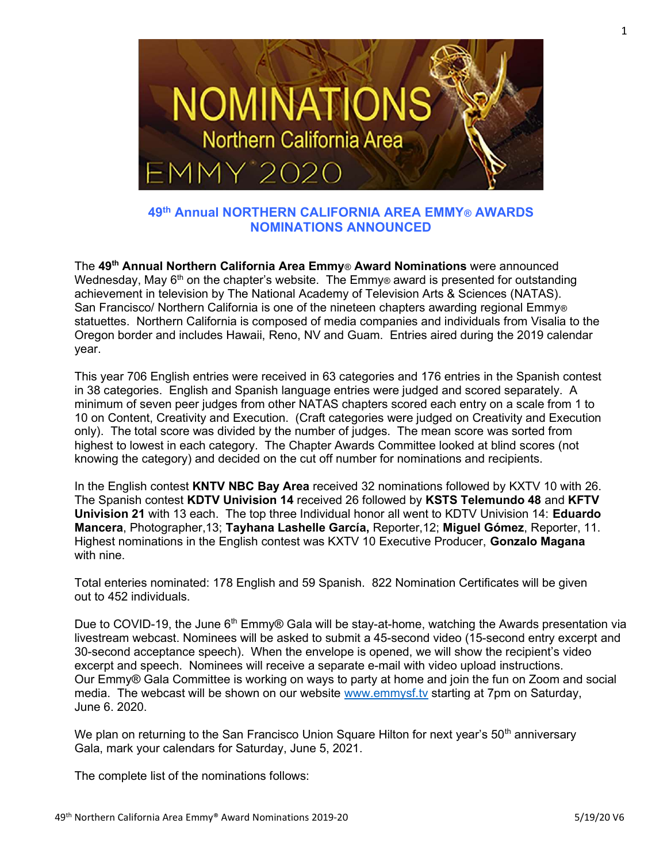

49th Annual NORTHERN CALIFORNIA AREA EMMY® AWARDS NOMINATIONS ANNOUNCED

The 49th Annual Northern California Area Emmy® Award Nominations were announced Wednesday, May  $6<sup>th</sup>$  on the chapter's website. The Emmy® award is presented for outstanding achievement in television by The National Academy of Television Arts & Sciences (NATAS). San Francisco/ Northern California is one of the nineteen chapters awarding regional Emmy® statuettes. Northern California is composed of media companies and individuals from Visalia to the Oregon border and includes Hawaii, Reno, NV and Guam. Entries aired during the 2019 calendar year.

This year 706 English entries were received in 63 categories and 176 entries in the Spanish contest in 38 categories. English and Spanish language entries were judged and scored separately. A minimum of seven peer judges from other NATAS chapters scored each entry on a scale from 1 to 10 on Content, Creativity and Execution. (Craft categories were judged on Creativity and Execution only). The total score was divided by the number of judges. The mean score was sorted from highest to lowest in each category. The Chapter Awards Committee looked at blind scores (not knowing the category) and decided on the cut off number for nominations and recipients.

In the English contest **KNTV NBC Bay Area** received 32 nominations followed by KXTV 10 with 26. The Spanish contest KDTV Univision 14 received 26 followed by KSTS Telemundo 48 and KFTV Univision 21 with 13 each. The top three Individual honor all went to KDTV Univision 14: Eduardo Mancera, Photographer,13; Tayhana Lashelle García, Reporter,12; Miguel Gómez, Reporter, 11. Highest nominations in the English contest was KXTV 10 Executive Producer, Gonzalo Magana with nine.

Total enteries nominated: 178 English and 59 Spanish. 822 Nomination Certificates will be given out to 452 individuals.

Due to COVID-19, the June 6<sup>th</sup> Emmy® Gala will be stay-at-home, watching the Awards presentation via livestream webcast. Nominees will be asked to submit a 45-second video (15-second entry excerpt and 30-second acceptance speech). When the envelope is opened, we will show the recipient's video excerpt and speech. Nominees will receive a separate e-mail with video upload instructions. Our Emmy® Gala Committee is working on ways to party at home and join the fun on Zoom and social media. The webcast will be shown on our website www.emmysf.tv starting at 7pm on Saturday, June 6. 2020.

We plan on returning to the San Francisco Union Square Hilton for next year's 50<sup>th</sup> anniversary Gala, mark your calendars for Saturday, June 5, 2021.

The complete list of the nominations follows: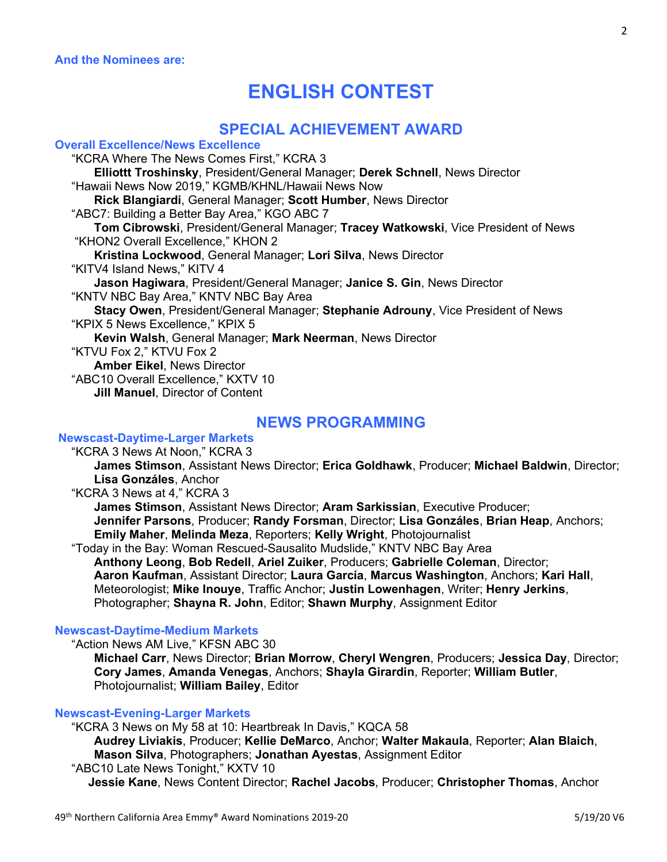# ENGLISH CONTEST

# SPECIAL ACHIEVEMENT AWARD

Overall Excellence/News Excellence "KCRA Where The News Comes First," KCRA 3 Elliottt Troshinsky, President/General Manager; Derek Schnell, News Director "Hawaii News Now 2019," KGMB/KHNL/Hawaii News Now Rick Blangiardi, General Manager; Scott Humber, News Director "ABC7: Building a Better Bay Area," KGO ABC 7 Tom Cibrowski, President/General Manager; Tracey Watkowski, Vice President of News "KHON2 Overall Excellence," KHON 2 Kristina Lockwood, General Manager; Lori Silva, News Director "KITV4 Island News," KITV 4 Jason Hagiwara, President/General Manager; Janice S. Gin, News Director "KNTV NBC Bay Area," KNTV NBC Bay Area Stacy Owen, President/General Manager; Stephanie Adrouny, Vice President of News "KPIX 5 News Excellence," KPIX 5 Kevin Walsh, General Manager; Mark Neerman, News Director "KTVU Fox 2," KTVU Fox 2 Amber Eikel, News Director "ABC10 Overall Excellence," KXTV 10 Jill Manuel, Director of Content

# NEWS PROGRAMMING

# Newscast-Daytime-Larger Markets

"KCRA 3 News At Noon," KCRA 3

 James Stimson, Assistant News Director; Erica Goldhawk, Producer; Michael Baldwin, Director; Lisa Gonzáles, Anchor

"KCRA 3 News at 4," KCRA 3

James Stimson, Assistant News Director; Aram Sarkissian, Executive Producer; Jennifer Parsons, Producer; Randy Forsman, Director; Lisa Gonzáles, Brian Heap, Anchors; Emily Maher, Melinda Meza, Reporters; Kelly Wright, Photojournalist

 "Today in the Bay: Woman Rescued-Sausalito Mudslide," KNTV NBC Bay Area Anthony Leong, Bob Redell, Ariel Zuiker, Producers; Gabrielle Coleman, Director; Aaron Kaufman, Assistant Director; Laura García, Marcus Washington, Anchors; Kari Hall, Meteorologist; Mike Inouye, Traffic Anchor; Justin Lowenhagen, Writer; Henry Jerkins, Photographer; Shayna R. John, Editor; Shawn Murphy, Assignment Editor

# Newscast-Daytime-Medium Markets

"Action News AM Live," KFSN ABC 30

 Michael Carr, News Director; Brian Morrow, Cheryl Wengren, Producers; Jessica Day, Director; Cory James, Amanda Venegas, Anchors; Shayla Girardin, Reporter; William Butler, Photojournalist; William Bailey, Editor

## Newscast-Evening-Larger Markets

 "KCRA 3 News on My 58 at 10: Heartbreak In Davis," KQCA 58 Audrey Liviakis, Producer; Kellie DeMarco, Anchor; Walter Makaula, Reporter; Alan Blaich, Mason Silva, Photographers; Jonathan Ayestas, Assignment Editor "ABC10 Late News Tonight," KXTV 10

Jessie Kane, News Content Director; Rachel Jacobs, Producer; Christopher Thomas, Anchor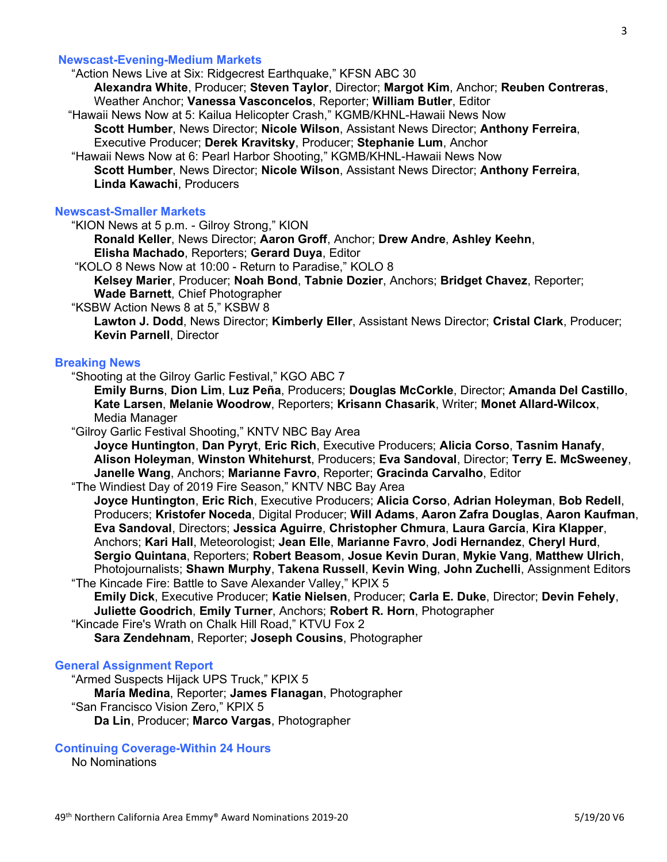## Newscast-Evening-Medium Markets

"Action News Live at Six: Ridgecrest Earthquake," KFSN ABC 30

Alexandra White, Producer; Steven Taylor, Director; Margot Kim, Anchor; Reuben Contreras, Weather Anchor; Vanessa Vasconcelos, Reporter; William Butler, Editor

"Hawaii News Now at 5: Kailua Helicopter Crash," KGMB/KHNL-Hawaii News Now

 Scott Humber, News Director; Nicole Wilson, Assistant News Director; Anthony Ferreira, Executive Producer; Derek Kravitsky, Producer; Stephanie Lum, Anchor

 "Hawaii News Now at 6: Pearl Harbor Shooting," KGMB/KHNL-Hawaii News Now Scott Humber, News Director; Nicole Wilson, Assistant News Director; Anthony Ferreira, Linda Kawachi, Producers

# Newscast-Smaller Markets

"KION News at 5 p.m. - Gilroy Strong," KION

Ronald Keller, News Director; Aaron Groff, Anchor; Drew Andre, Ashley Keehn, Elisha Machado, Reporters; Gerard Duya, Editor

"KOLO 8 News Now at 10:00 - Return to Paradise," KOLO 8

 Kelsey Marier, Producer; Noah Bond, Tabnie Dozier, Anchors; Bridget Chavez, Reporter; Wade Barnett, Chief Photographer

"KSBW Action News 8 at 5," KSBW 8

Lawton J. Dodd, News Director; Kimberly Eller, Assistant News Director; Cristal Clark, Producer; Kevin Parnell, Director

#### Breaking News

"Shooting at the Gilroy Garlic Festival," KGO ABC 7

Emily Burns, Dion Lim, Luz Peña, Producers; Douglas McCorkle, Director; Amanda Del Castillo, Kate Larsen, Melanie Woodrow, Reporters; Krisann Chasarik, Writer; Monet Allard-Wilcox, Media Manager

"Gilroy Garlic Festival Shooting," KNTV NBC Bay Area

Joyce Huntington, Dan Pyryt, Eric Rich, Executive Producers; Alicia Corso, Tasnim Hanafy, Alison Holeyman, Winston Whitehurst, Producers; Eva Sandoval, Director; Terry E. McSweeney, Janelle Wang, Anchors; Marianne Favro, Reporter; Gracinda Carvalho, Editor

"The Windiest Day of 2019 Fire Season," KNTV NBC Bay Area

Joyce Huntington, Eric Rich, Executive Producers; Alicia Corso, Adrian Holeyman, Bob Redell, Producers; Kristofer Noceda, Digital Producer; Will Adams, Aaron Zafra Douglas, Aaron Kaufman, Eva Sandoval, Directors; Jessica Aguirre, Christopher Chmura, Laura García, Kira Klapper, Anchors; Kari Hall, Meteorologist; Jean Elle, Marianne Favro, Jodi Hernandez, Cheryl Hurd, Sergio Quintana, Reporters; Robert Beasom, Josue Kevin Duran, Mykie Vang, Matthew Ulrich, Photojournalists; Shawn Murphy, Takena Russell, Kevin Wing, John Zuchelli, Assignment Editors "The Kincade Fire: Battle to Save Alexander Valley," KPIX 5

Emily Dick, Executive Producer; Katie Nielsen, Producer; Carla E. Duke, Director; Devin Fehely, Juliette Goodrich, Emily Turner, Anchors; Robert R. Horn, Photographer

"Kincade Fire's Wrath on Chalk Hill Road," KTVU Fox 2

Sara Zendehnam, Reporter; Joseph Cousins, Photographer

### General Assignment Report

 "Armed Suspects Hijack UPS Truck," KPIX 5 María Medina, Reporter; James Flanagan, Photographer "San Francisco Vision Zero," KPIX 5 Da Lin, Producer; Marco Vargas, Photographer

### Continuing Coverage-Within 24 Hours

No Nominations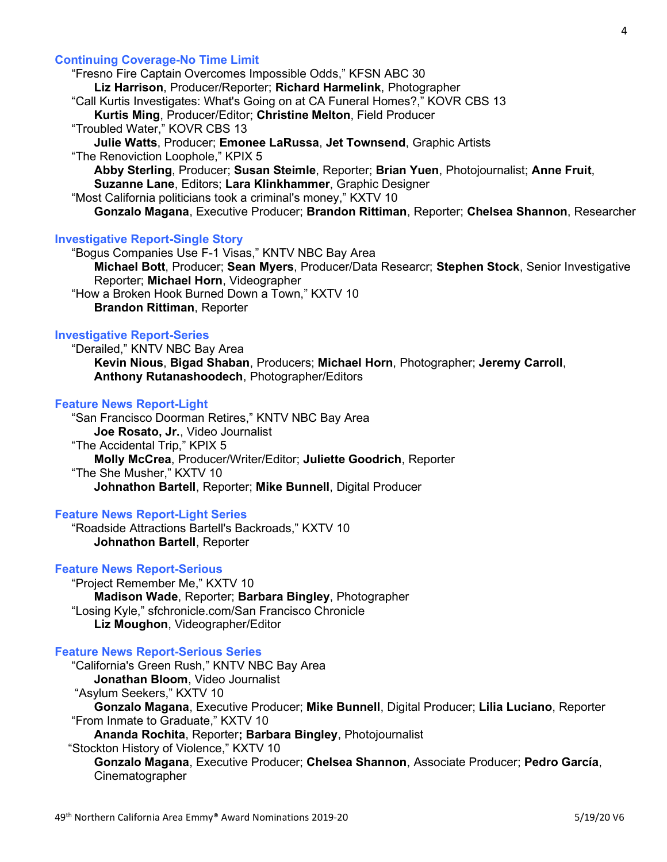# Continuing Coverage-No Time Limit

 "Fresno Fire Captain Overcomes Impossible Odds," KFSN ABC 30 Liz Harrison, Producer/Reporter; Richard Harmelink, Photographer "Call Kurtis Investigates: What's Going on at CA Funeral Homes?," KOVR CBS 13 Kurtis Ming, Producer/Editor; Christine Melton, Field Producer "Troubled Water," KOVR CBS 13 Julie Watts, Producer; Emonee LaRussa, Jet Townsend, Graphic Artists "The Renoviction Loophole," KPIX 5 Abby Sterling, Producer; Susan Steimle, Reporter; Brian Yuen, Photojournalist; Anne Fruit, Suzanne Lane, Editors; Lara Klinkhammer, Graphic Designer "Most California politicians took a criminal's money," KXTV 10 Gonzalo Magana, Executive Producer; Brandon Rittiman, Reporter; Chelsea Shannon, Researcher

# Investigative Report-Single Story

 "Bogus Companies Use F-1 Visas," KNTV NBC Bay Area Michael Bott, Producer; Sean Myers, Producer/Data Researcr; Stephen Stock, Senior Investigative Reporter; Michael Horn, Videographer "How a Broken Hook Burned Down a Town," KXTV 10 Brandon Rittiman, Reporter

## Investigative Report-Series

 "Derailed," KNTV NBC Bay Area Kevin Nious, Bigad Shaban, Producers; Michael Horn, Photographer; Jeremy Carroll, Anthony Rutanashoodech, Photographer/Editors

### Feature News Report-Light

 "San Francisco Doorman Retires," KNTV NBC Bay Area Joe Rosato, Jr., Video Journalist "The Accidental Trip," KPIX 5 Molly McCrea, Producer/Writer/Editor; Juliette Goodrich, Reporter "The She Musher," KXTV 10 Johnathon Bartell, Reporter; Mike Bunnell, Digital Producer

#### Feature News Report-Light Series

 "Roadside Attractions Bartell's Backroads," KXTV 10 Johnathon Bartell, Reporter

### Feature News Report-Serious

 "Project Remember Me," KXTV 10 Madison Wade, Reporter; Barbara Bingley, Photographer "Losing Kyle," sfchronicle.com/San Francisco Chronicle Liz Moughon, Videographer/Editor

#### Feature News Report-Serious Series

 "California's Green Rush," KNTV NBC Bay Area Jonathan Bloom, Video Journalist "Asylum Seekers," KXTV 10 Gonzalo Magana, Executive Producer; Mike Bunnell, Digital Producer; Lilia Luciano, Reporter "From Inmate to Graduate," KXTV 10 Ananda Rochita, Reporter; Barbara Bingley, Photojournalist "Stockton History of Violence," KXTV 10 Gonzalo Magana, Executive Producer; Chelsea Shannon, Associate Producer; Pedro García, Cinematographer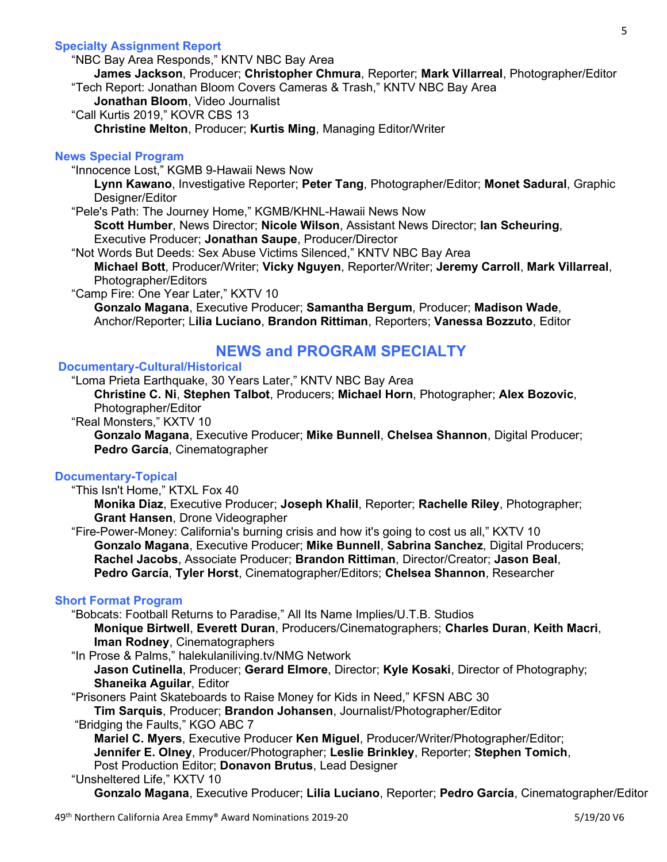# Specialty Assignment Report

"NBC Bay Area Responds," KNTV NBC Bay Area

 James Jackson, Producer; Christopher Chmura, Reporter; Mark Villarreal, Photographer/Editor "Tech Report: Jonathan Bloom Covers Cameras & Trash," KNTV NBC Bay Area

Jonathan Bloom, Video Journalist

"Call Kurtis 2019," KOVR CBS 13

Christine Melton, Producer; Kurtis Ming, Managing Editor/Writer

# News Special Program

"Innocence Lost," KGMB 9-Hawaii News Now

Lynn Kawano, Investigative Reporter; Peter Tang, Photographer/Editor; Monet Sadural, Graphic Designer/Editor

"Pele's Path: The Journey Home," KGMB/KHNL-Hawaii News Now

 Scott Humber, News Director; Nicole Wilson, Assistant News Director; Ian Scheuring, Executive Producer; Jonathan Saupe, Producer/Director

"Not Words But Deeds: Sex Abuse Victims Silenced," KNTV NBC Bay Area

Michael Bott, Producer/Writer; Vicky Nguyen, Reporter/Writer; Jeremy Carroll, Mark Villarreal, Photographer/Editors

"Camp Fire: One Year Later," KXTV 10

Gonzalo Magana, Executive Producer; Samantha Bergum, Producer; Madison Wade, Anchor/Reporter; Lilia Luciano, Brandon Rittiman, Reporters; Vanessa Bozzuto, Editor

# NEWS and PROGRAM SPECIALTY

# Documentary-Cultural/Historical

"Loma Prieta Earthquake, 30 Years Later," KNTV NBC Bay Area

Christine C. Ni, Stephen Talbot, Producers; Michael Horn, Photographer; Alex Bozovic, Photographer/Editor

"Real Monsters," KXTV 10

 Gonzalo Magana, Executive Producer; Mike Bunnell, Chelsea Shannon, Digital Producer; Pedro García, Cinematographer

# Documentary-Topical

"This Isn't Home," KTXL Fox 40

 Monika Diaz, Executive Producer; Joseph Khalil, Reporter; Rachelle Riley, Photographer; Grant Hansen, Drone Videographer

 "Fire-Power-Money: California's burning crisis and how it's going to cost us all," KXTV 10 Gonzalo Magana, Executive Producer; Mike Bunnell, Sabrina Sanchez, Digital Producers; Rachel Jacobs, Associate Producer; Brandon Rittiman, Director/Creator; Jason Beal, Pedro García, Tyler Horst, Cinematographer/Editors; Chelsea Shannon, Researcher

# Short Format Program

"Bobcats: Football Returns to Paradise," All Its Name Implies/U.T.B. Studios

 Monique Birtwell, Everett Duran, Producers/Cinematographers; Charles Duran, Keith Macri, Iman Rodney, Cinematographers

"In Prose & Palms," halekulaniliving.tv/NMG Network

Jason Cutinella, Producer; Gerard Elmore, Director; Kyle Kosaki, Director of Photography; Shaneika Aguilar, Editor

"Prisoners Paint Skateboards to Raise Money for Kids in Need," KFSN ABC 30

Tim Sarquis, Producer; Brandon Johansen, Journalist/Photographer/Editor

"Bridging the Faults," KGO ABC 7

 Mariel C. Myers, Executive Producer Ken Miguel, Producer/Writer/Photographer/Editor; Jennifer E. Olney, Producer/Photographer; Leslie Brinkley, Reporter; Stephen Tomich, Post Production Editor; Donavon Brutus, Lead Designer

# "Unsheltered Life," KXTV 10

Gonzalo Magana, Executive Producer; Lilia Luciano, Reporter; Pedro García, Cinematographer/Editor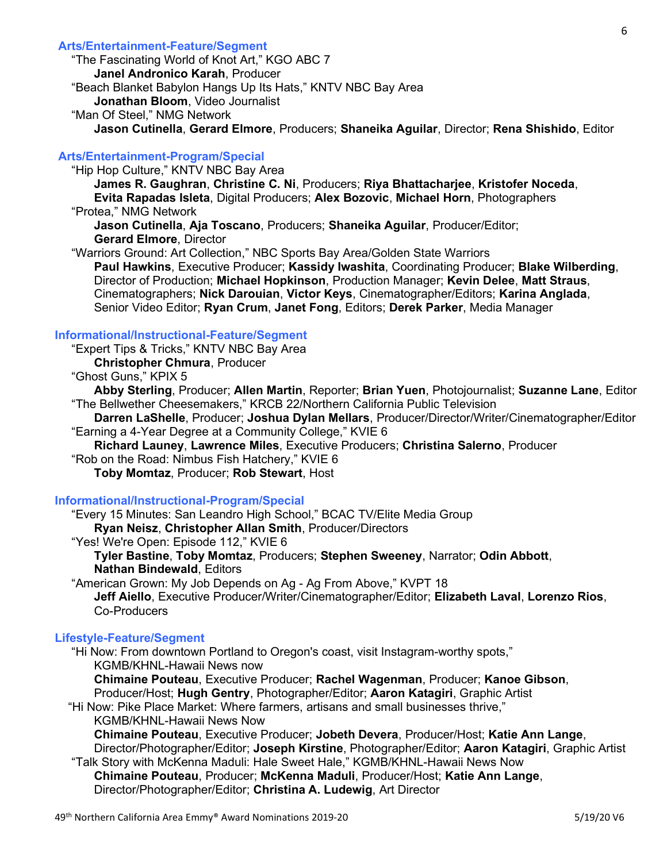# Arts/Entertainment-Feature/Segment

 "The Fascinating World of Knot Art," KGO ABC 7 Janel Andronico Karah, Producer "Beach Blanket Babylon Hangs Up Its Hats," KNTV NBC Bay Area Jonathan Bloom, Video Journalist "Man Of Steel," NMG Network

Jason Cutinella, Gerard Elmore, Producers; Shaneika Aguilar, Director; Rena Shishido, Editor

# Arts/Entertainment-Program/Special

"Hip Hop Culture," KNTV NBC Bay Area

 James R. Gaughran, Christine C. Ni, Producers; Riya Bhattacharjee, Kristofer Noceda, Evita Rapadas Isleta, Digital Producers; Alex Bozovic, Michael Horn, Photographers

"Protea," NMG Network

Jason Cutinella, Aja Toscano, Producers; Shaneika Aguilar, Producer/Editor; Gerard Elmore, Director

 "Warriors Ground: Art Collection," NBC Sports Bay Area/Golden State Warriors Paul Hawkins, Executive Producer; Kassidy Iwashita, Coordinating Producer; Blake Wilberding, Director of Production; Michael Hopkinson, Production Manager; Kevin Delee, Matt Straus, Cinematographers; Nick Darouian, Victor Keys, Cinematographer/Editors; Karina Anglada, Senior Video Editor; Ryan Crum, Janet Fong, Editors; Derek Parker, Media Manager

# Informational/Instructional-Feature/Segment

 "Expert Tips & Tricks," KNTV NBC Bay Area Christopher Chmura, Producer

"Ghost Guns," KPIX 5

 Abby Sterling, Producer; Allen Martin, Reporter; Brian Yuen, Photojournalist; Suzanne Lane, Editor "The Bellwether Cheesemakers," KRCB 22/Northern California Public Television

 Darren LaShelle, Producer; Joshua Dylan Mellars, Producer/Director/Writer/Cinematographer/Editor "Earning a 4-Year Degree at a Community College," KVIE 6

Richard Launey, Lawrence Miles, Executive Producers; Christina Salerno, Producer

"Rob on the Road: Nimbus Fish Hatchery," KVIE 6

Toby Momtaz, Producer; Rob Stewart, Host

#### Informational/Instructional-Program/Special

"Every 15 Minutes: San Leandro High School," BCAC TV/Elite Media Group

Ryan Neisz, Christopher Allan Smith, Producer/Directors

"Yes! We're Open: Episode 112," KVIE 6

 Tyler Bastine, Toby Momtaz, Producers; Stephen Sweeney, Narrator; Odin Abbott, Nathan Bindewald, Editors

 "American Grown: My Job Depends on Ag - Ag From Above," KVPT 18 Jeff Aiello, Executive Producer/Writer/Cinematographer/Editor; Elizabeth Laval, Lorenzo Rios, Co-Producers

# Lifestyle-Feature/Segment

 "Hi Now: From downtown Portland to Oregon's coast, visit Instagram-worthy spots," KGMB/KHNL-Hawaii News now

Chimaine Pouteau, Executive Producer; Rachel Wagenman, Producer; Kanoe Gibson, Producer/Host; Hugh Gentry, Photographer/Editor; Aaron Katagiri, Graphic Artist

 "Hi Now: Pike Place Market: Where farmers, artisans and small businesses thrive," KGMB/KHNL-Hawaii News Now

Chimaine Pouteau, Executive Producer; Jobeth Devera, Producer/Host; Katie Ann Lange, Director/Photographer/Editor; Joseph Kirstine, Photographer/Editor; Aaron Katagiri, Graphic Artist

 "Talk Story with McKenna Maduli: Hale Sweet Hale," KGMB/KHNL-Hawaii News Now Chimaine Pouteau, Producer; McKenna Maduli, Producer/Host; Katie Ann Lange, Director/Photographer/Editor; Christina A. Ludewig, Art Director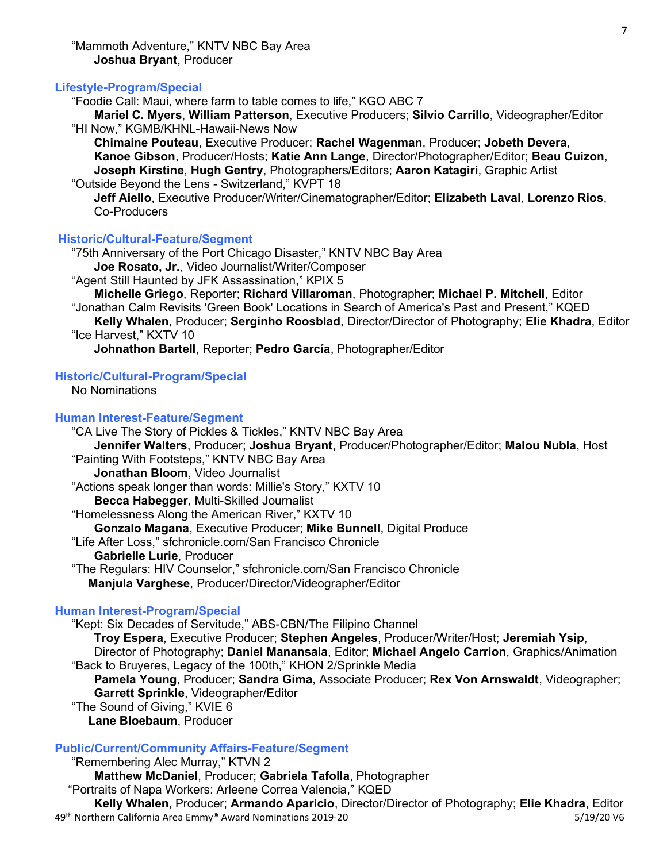# Lifestyle-Program/Special

"Foodie Call: Maui, where farm to table comes to life," KGO ABC 7

 Mariel C. Myers, William Patterson, Executive Producers; Silvio Carrillo, Videographer/Editor "HI Now," KGMB/KHNL-Hawaii-News Now

Chimaine Pouteau, Executive Producer; Rachel Wagenman, Producer; Jobeth Devera, Kanoe Gibson, Producer/Hosts; Katie Ann Lange, Director/Photographer/Editor; Beau Cuizon, Joseph Kirstine, Hugh Gentry, Photographers/Editors; Aaron Katagiri, Graphic Artist "Outside Beyond the Lens - Switzerland," KVPT 18

Jeff Aiello, Executive Producer/Writer/Cinematographer/Editor; Elizabeth Laval, Lorenzo Rios, Co-Producers

# Historic/Cultural-Feature/Segment

 "75th Anniversary of the Port Chicago Disaster," KNTV NBC Bay Area Joe Rosato, Jr., Video Journalist/Writer/Composer

"Agent Still Haunted by JFK Assassination," KPIX 5

 Michelle Griego, Reporter; Richard Villaroman, Photographer; Michael P. Mitchell, Editor "Jonathan Calm Revisits 'Green Book' Locations in Search of America's Past and Present," KQED

 Kelly Whalen, Producer; Serginho Roosblad, Director/Director of Photography; Elie Khadra, Editor "Ice Harvest," KXTV 10

Johnathon Bartell, Reporter; Pedro García, Photographer/Editor

### Historic/Cultural-Program/Special

No Nominations

#### Human Interest-Feature/Segment

 "CA Live The Story of Pickles & Tickles," KNTV NBC Bay Area Jennifer Walters, Producer; Joshua Bryant, Producer/Photographer/Editor; Malou Nubla, Host "Painting With Footsteps," KNTV NBC Bay Area Jonathan Bloom, Video Journalist "Actions speak longer than words: Millie's Story," KXTV 10 Becca Habegger, Multi-Skilled Journalist "Homelessness Along the American River," KXTV 10 Gonzalo Magana, Executive Producer: Mike Bunnell, Digital Produce "Life After Loss," sfchronicle.com/San Francisco Chronicle Gabrielle Lurie, Producer "The Regulars: HIV Counselor," sfchronicle.com/San Francisco Chronicle Manjula Varghese, Producer/Director/Videographer/Editor Human Interest-Program/Special "Kept: Six Decades of Servitude," ABS-CBN/The Filipino Channel

 Troy Espera, Executive Producer; Stephen Angeles, Producer/Writer/Host; Jeremiah Ysip, Director of Photography; Daniel Manansala, Editor; Michael Angelo Carrion, Graphics/Animation "Back to Bruyeres, Legacy of the 100th," KHON 2/Sprinkle Media Pamela Young, Producer; Sandra Gima, Associate Producer; Rex Von Arnswaldt, Videographer; Garrett Sprinkle, Videographer/Editor

 "The Sound of Giving," KVIE 6 Lane Bloebaum, Producer

# Public/Current/Community Affairs-Feature/Segment

49<sup>th</sup> Northern California Area Emmy® Award Nominations 2019-20 5/19/20 5/19/20 V6 "Remembering Alec Murray," KTVN 2 Matthew McDaniel, Producer; Gabriela Tafolla, Photographer "Portraits of Napa Workers: Arleene Correa Valencia," KQED Kelly Whalen, Producer; Armando Aparicio, Director/Director of Photography; Elie Khadra, Editor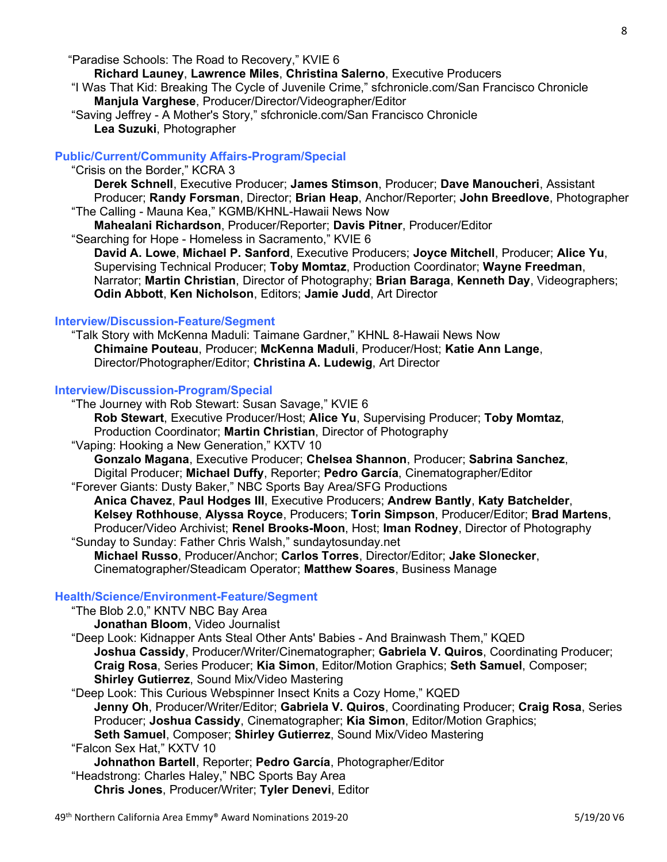"Paradise Schools: The Road to Recovery," KVIE 6

Richard Launey, Lawrence Miles, Christina Salerno, Executive Producers

 "I Was That Kid: Breaking The Cycle of Juvenile Crime," sfchronicle.com/San Francisco Chronicle Manjula Varghese, Producer/Director/Videographer/Editor

 "Saving Jeffrey - A Mother's Story," sfchronicle.com/San Francisco Chronicle Lea Suzuki, Photographer

# Public/Current/Community Affairs-Program/Special

"Crisis on the Border," KCRA 3

Derek Schnell, Executive Producer; James Stimson, Producer; Dave Manoucheri, Assistant Producer; Randy Forsman, Director; Brian Heap, Anchor/Reporter; John Breedlove, Photographer "The Calling - Mauna Kea," KGMB/KHNL-Hawaii News Now

Mahealani Richardson, Producer/Reporter; Davis Pitner, Producer/Editor

"Searching for Hope - Homeless in Sacramento," KVIE 6

David A. Lowe, Michael P. Sanford, Executive Producers; Joyce Mitchell, Producer; Alice Yu, Supervising Technical Producer; Toby Momtaz, Production Coordinator; Wayne Freedman, Narrator; Martin Christian, Director of Photography; Brian Baraga, Kenneth Day, Videographers; Odin Abbott, Ken Nicholson, Editors; Jamie Judd, Art Director

# Interview/Discussion-Feature/Segment

 "Talk Story with McKenna Maduli: Taimane Gardner," KHNL 8-Hawaii News Now Chimaine Pouteau, Producer; McKenna Maduli, Producer/Host; Katie Ann Lange, Director/Photographer/Editor; Christina A. Ludewig, Art Director

### Interview/Discussion-Program/Special

 "The Journey with Rob Stewart: Susan Savage," KVIE 6 Rob Stewart, Executive Producer/Host; Alice Yu, Supervising Producer; Toby Momtaz, Production Coordinator; Martin Christian, Director of Photography

"Vaping: Hooking a New Generation," KXTV 10

 Gonzalo Magana, Executive Producer; Chelsea Shannon, Producer; Sabrina Sanchez, Digital Producer; Michael Duffy, Reporter; Pedro García, Cinematographer/Editor

"Forever Giants: Dusty Baker," NBC Sports Bay Area/SFG Productions

 Anica Chavez, Paul Hodges III, Executive Producers; Andrew Bantly, Katy Batchelder, Kelsey Rothhouse, Alyssa Royce, Producers; Torin Simpson, Producer/Editor; Brad Martens, Producer/Video Archivist: Renel Brooks-Moon, Host: Iman Rodney, Director of Photography "Sunday to Sunday: Father Chris Walsh," sundaytosunday.net

Michael Russo, Producer/Anchor; Carlos Torres, Director/Editor; Jake Slonecker, Cinematographer/Steadicam Operator; Matthew Soares, Business Manage

# Health/Science/Environment-Feature/Segment

"The Blob 2.0," KNTV NBC Bay Area

Jonathan Bloom, Video Journalist

 "Deep Look: Kidnapper Ants Steal Other Ants' Babies - And Brainwash Them," KQED Joshua Cassidy, Producer/Writer/Cinematographer; Gabriela V. Quiros, Coordinating Producer; Craig Rosa, Series Producer; Kia Simon, Editor/Motion Graphics; Seth Samuel, Composer; Shirley Gutierrez, Sound Mix/Video Mastering

"Deep Look: This Curious Webspinner Insect Knits a Cozy Home," KQED

Jenny Oh, Producer/Writer/Editor; Gabriela V. Quiros, Coordinating Producer; Craig Rosa, Series Producer; Joshua Cassidy, Cinematographer; Kia Simon, Editor/Motion Graphics;

Seth Samuel, Composer; Shirley Gutierrez, Sound Mix/Video Mastering

"Falcon Sex Hat," KXTV 10

Johnathon Bartell, Reporter; Pedro García, Photographer/Editor

"Headstrong: Charles Haley," NBC Sports Bay Area

Chris Jones, Producer/Writer; Tyler Denevi, Editor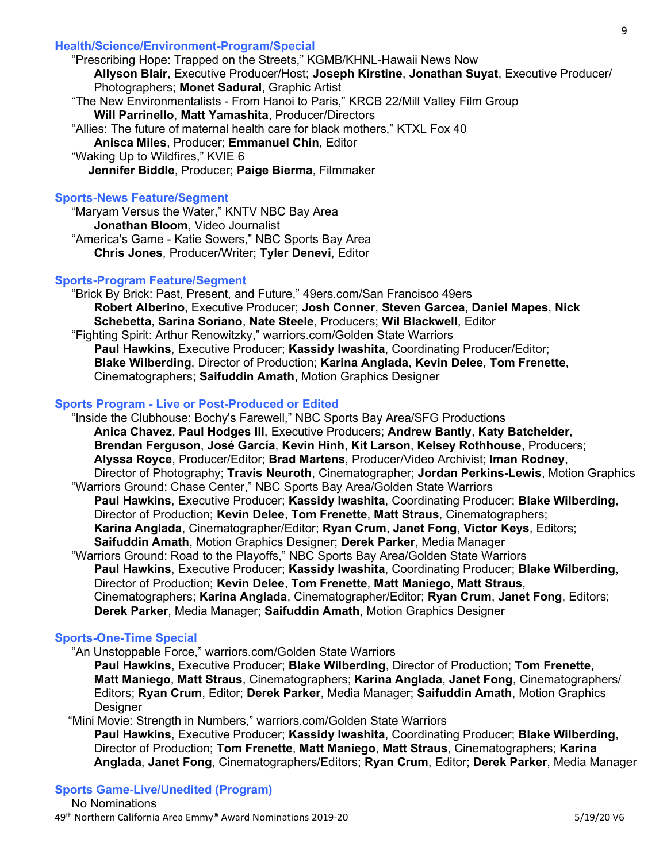# Health/Science/Environment-Program/Special

 "Prescribing Hope: Trapped on the Streets," KGMB/KHNL-Hawaii News Now Allyson Blair, Executive Producer/Host; Joseph Kirstine, Jonathan Suyat, Executive Producer/ Photographers; Monet Sadural, Graphic Artist "The New Environmentalists - From Hanoi to Paris," KRCB 22/Mill Valley Film Group Will Parrinello, Matt Yamashita, Producer/Directors "Allies: The future of maternal health care for black mothers," KTXL Fox 40 Anisca Miles, Producer; Emmanuel Chin, Editor "Waking Up to Wildfires," KVIE 6 Jennifer Biddle, Producer; Paige Bierma, Filmmaker

# Sports-News Feature/Segment

 "Maryam Versus the Water," KNTV NBC Bay Area Jonathan Bloom, Video Journalist "America's Game - Katie Sowers," NBC Sports Bay Area Chris Jones, Producer/Writer; Tyler Denevi, Editor

# Sports-Program Feature/Segment

 "Brick By Brick: Past, Present, and Future," 49ers.com/San Francisco 49ers Robert Alberino, Executive Producer; Josh Conner, Steven Garcea, Daniel Mapes, Nick Schebetta, Sarina Soriano, Nate Steele, Producers; Wil Blackwell, Editor "Fighting Spirit: Arthur Renowitzky," warriors.com/Golden State Warriors Paul Hawkins, Executive Producer; Kassidy Iwashita, Coordinating Producer/Editor; Blake Wilberding, Director of Production; Karina Anglada, Kevin Delee, Tom Frenette, Cinematographers; Saifuddin Amath, Motion Graphics Designer

# Sports Program - Live or Post-Produced or Edited

 "Inside the Clubhouse: Bochy's Farewell," NBC Sports Bay Area/SFG Productions Anica Chavez, Paul Hodges III, Executive Producers; Andrew Bantly, Katy Batchelder, Brendan Ferguson, José García, Kevin Hinh, Kit Larson, Kelsey Rothhouse, Producers; Alyssa Royce, Producer/Editor; Brad Martens, Producer/Video Archivist; Iman Rodney, Director of Photography; Travis Neuroth, Cinematographer; Jordan Perkins-Lewis, Motion Graphics "Warriors Ground: Chase Center," NBC Sports Bay Area/Golden State Warriors Paul Hawkins, Executive Producer; Kassidy Iwashita, Coordinating Producer; Blake Wilberding, Director of Production; Kevin Delee, Tom Frenette, Matt Straus, Cinematographers;

Karina Anglada, Cinematographer/Editor; Ryan Crum, Janet Fong, Victor Keys, Editors; Saifuddin Amath, Motion Graphics Designer; Derek Parker, Media Manager

 "Warriors Ground: Road to the Playoffs," NBC Sports Bay Area/Golden State Warriors Paul Hawkins, Executive Producer; Kassidy Iwashita, Coordinating Producer; Blake Wilberding, Director of Production; Kevin Delee, Tom Frenette, Matt Maniego, Matt Straus, Cinematographers; Karina Anglada, Cinematographer/Editor; Ryan Crum, Janet Fong, Editors; Derek Parker, Media Manager; Saifuddin Amath, Motion Graphics Designer

# Sports-One-Time Special

"An Unstoppable Force," warriors.com/Golden State Warriors

 Paul Hawkins, Executive Producer; Blake Wilberding, Director of Production; Tom Frenette, Matt Maniego, Matt Straus, Cinematographers; Karina Anglada, Janet Fong, Cinematographers/ Editors; Ryan Crum, Editor; Derek Parker, Media Manager; Saifuddin Amath, Motion Graphics **Designer** 

# "Mini Movie: Strength in Numbers," warriors.com/Golden State Warriors

Paul Hawkins, Executive Producer; Kassidy Iwashita, Coordinating Producer; Blake Wilberding, Director of Production; Tom Frenette, Matt Maniego, Matt Straus, Cinematographers; Karina Anglada, Janet Fong, Cinematographers/Editors; Ryan Crum, Editor; Derek Parker, Media Manager

# Sports Game-Live/Unedited (Program)

49<sup>th</sup> Northern California Area Emmy® Award Nominations 2019-20 5/19/20 5/19/20 V6 No Nominations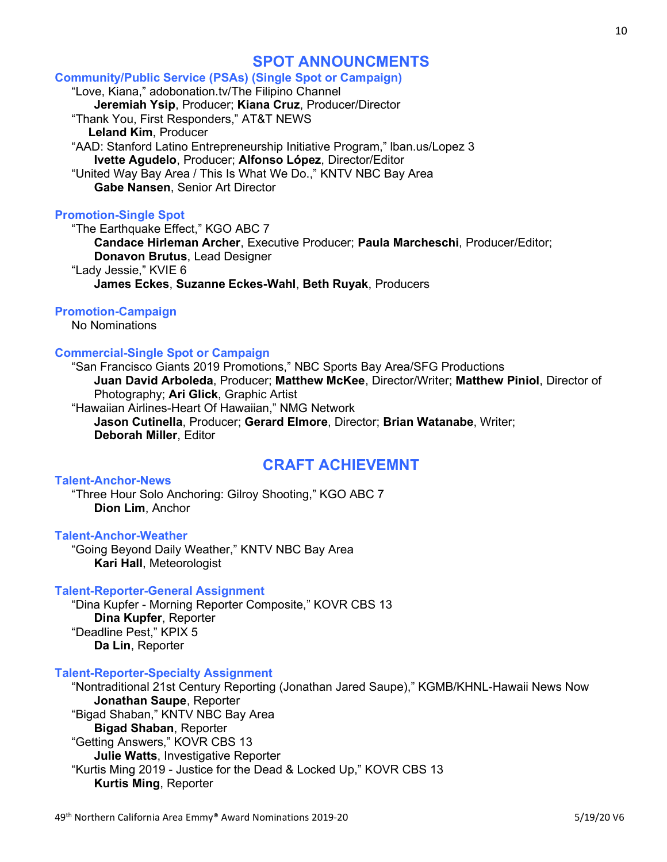# SPOT ANNOUNCMENTS

# Community/Public Service (PSAs) (Single Spot or Campaign) "Love, Kiana," adobonation.tv/The Filipino Channel Jeremiah Ysip, Producer; Kiana Cruz, Producer/Director

 "Thank You, First Responders," AT&T NEWS Leland Kim, Producer "AAD: Stanford Latino Entrepreneurship Initiative Program," lban.us/Lopez 3 Ivette Agudelo, Producer; Alfonso López, Director/Editor "United Way Bay Area / This Is What We Do.," KNTV NBC Bay Area Gabe Nansen, Senior Art Director

# Promotion-Single Spot

 "The Earthquake Effect," KGO ABC 7 Candace Hirleman Archer, Executive Producer; Paula Marcheschi, Producer/Editor; Donavon Brutus, Lead Designer "Lady Jessie," KVIE 6 James Eckes, Suzanne Eckes-Wahl, Beth Ruyak, Producers

# Promotion-Campaign

No Nominations

# Commercial-Single Spot or Campaign

 "San Francisco Giants 2019 Promotions," NBC Sports Bay Area/SFG Productions Juan David Arboleda, Producer; Matthew McKee, Director/Writer; Matthew Piniol, Director of Photography; **Ari Glick**, Graphic Artist

 "Hawaiian Airlines-Heart Of Hawaiian," NMG Network Jason Cutinella, Producer; Gerard Elmore, Director; Brian Watanabe, Writer; Deborah Miller, Editor

# CRAFT ACHIEVEMNT

# Talent-Anchor-News

 "Three Hour Solo Anchoring: Gilroy Shooting," KGO ABC 7 Dion Lim, Anchor

# Talent-Anchor-Weather

 "Going Beyond Daily Weather," KNTV NBC Bay Area Kari Hall, Meteorologist

# Talent-Reporter-General Assignment

 "Dina Kupfer - Morning Reporter Composite," KOVR CBS 13 Dina Kupfer, Reporter "Deadline Pest," KPIX 5 Da Lin, Reporter

# Talent-Reporter-Specialty Assignment

 "Nontraditional 21st Century Reporting (Jonathan Jared Saupe)," KGMB/KHNL-Hawaii News Now Jonathan Saupe, Reporter "Bigad Shaban," KNTV NBC Bay Area Bigad Shaban, Reporter "Getting Answers," KOVR CBS 13 Julie Watts, Investigative Reporter "Kurtis Ming 2019 - Justice for the Dead & Locked Up," KOVR CBS 13 Kurtis Ming, Reporter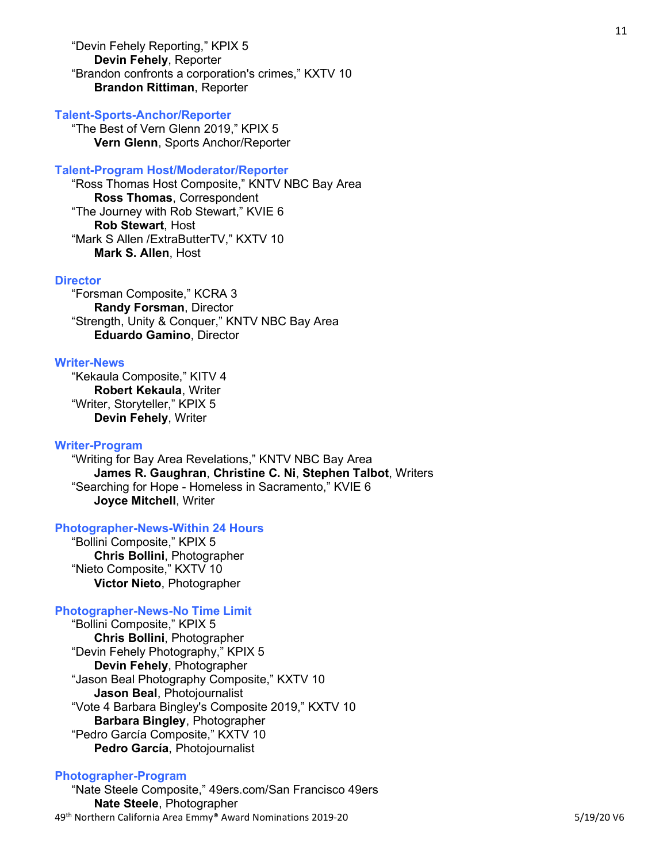"Devin Fehely Reporting," KPIX 5 Devin Fehely, Reporter "Brandon confronts a corporation's crimes," KXTV 10 Brandon Rittiman, Reporter

#### Talent-Sports-Anchor/Reporter

 "The Best of Vern Glenn 2019," KPIX 5 Vern Glenn, Sports Anchor/Reporter

#### Talent-Program Host/Moderator/Reporter

 "Ross Thomas Host Composite," KNTV NBC Bay Area Ross Thomas, Correspondent "The Journey with Rob Stewart," KVIE 6 Rob Stewart, Host "Mark S Allen /ExtraButterTV," KXTV 10 Mark S. Allen, Host

#### **Director**

 "Forsman Composite," KCRA 3 Randy Forsman, Director "Strength, Unity & Conquer," KNTV NBC Bay Area Eduardo Gamino, Director

#### Writer-News

 "Kekaula Composite," KITV 4 Robert Kekaula, Writer "Writer, Storyteller," KPIX 5 Devin Fehely, Writer

#### Writer-Program

 "Writing for Bay Area Revelations," KNTV NBC Bay Area James R. Gaughran, Christine C. Ni, Stephen Talbot, Writers "Searching for Hope - Homeless in Sacramento," KVIE 6 Joyce Mitchell, Writer

# Photographer-News-Within 24 Hours

 "Bollini Composite," KPIX 5 Chris Bollini, Photographer "Nieto Composite," KXTV 10 Victor Nieto, Photographer

# Photographer-News-No Time Limit

 "Bollini Composite," KPIX 5 Chris Bollini, Photographer "Devin Fehely Photography," KPIX 5 Devin Fehely, Photographer "Jason Beal Photography Composite," KXTV 10 Jason Beal, Photojournalist "Vote 4 Barbara Bingley's Composite 2019," KXTV 10 Barbara Bingley, Photographer "Pedro García Composite," KXTV 10 Pedro García, Photojournalist

#### Photographer-Program

49<sup>th</sup> Northern California Area Emmy® Award Nominations 2019-20 5/19/20 5/19/20 V6 "Nate Steele Composite," 49ers.com/San Francisco 49ers Nate Steele, Photographer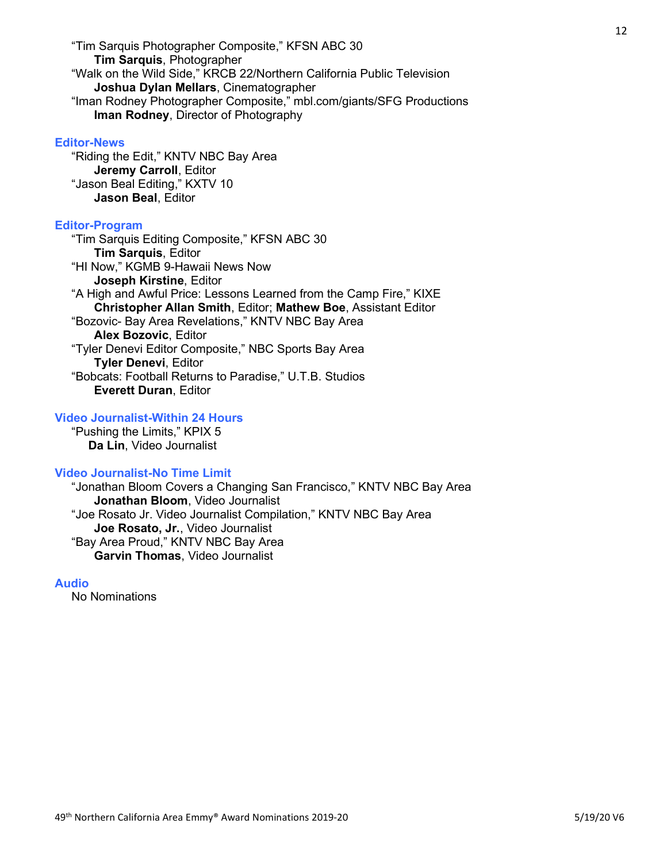"Tim Sarquis Photographer Composite," KFSN ABC 30 Tim Sarquis, Photographer "Walk on the Wild Side," KRCB 22/Northern California Public Television Joshua Dylan Mellars, Cinematographer "Iman Rodney Photographer Composite," mbl.com/giants/SFG Productions Iman Rodney, Director of Photography

### Editor-News

 "Riding the Edit," KNTV NBC Bay Area Jeremy Carroll, Editor "Jason Beal Editing," KXTV 10 Jason Beal, Editor

#### Editor-Program

 "Tim Sarquis Editing Composite," KFSN ABC 30 Tim Sarquis, Editor "HI Now," KGMB 9-Hawaii News Now Joseph Kirstine, Editor "A High and Awful Price: Lessons Learned from the Camp Fire," KIXE Christopher Allan Smith, Editor; Mathew Boe, Assistant Editor "Bozovic- Bay Area Revelations," KNTV NBC Bay Area Alex Bozovic, Editor "Tyler Denevi Editor Composite," NBC Sports Bay Area Tyler Denevi, Editor "Bobcats: Football Returns to Paradise," U.T.B. Studios Everett Duran, Editor

# Video Journalist-Within 24 Hours

 "Pushing the Limits," KPIX 5 Da Lin, Video Journalist

# Video Journalist-No Time Limit

 "Jonathan Bloom Covers a Changing San Francisco," KNTV NBC Bay Area Jonathan Bloom, Video Journalist "Joe Rosato Jr. Video Journalist Compilation," KNTV NBC Bay Area Joe Rosato, Jr., Video Journalist "Bay Area Proud," KNTV NBC Bay Area Garvin Thomas, Video Journalist

#### Audio

No Nominations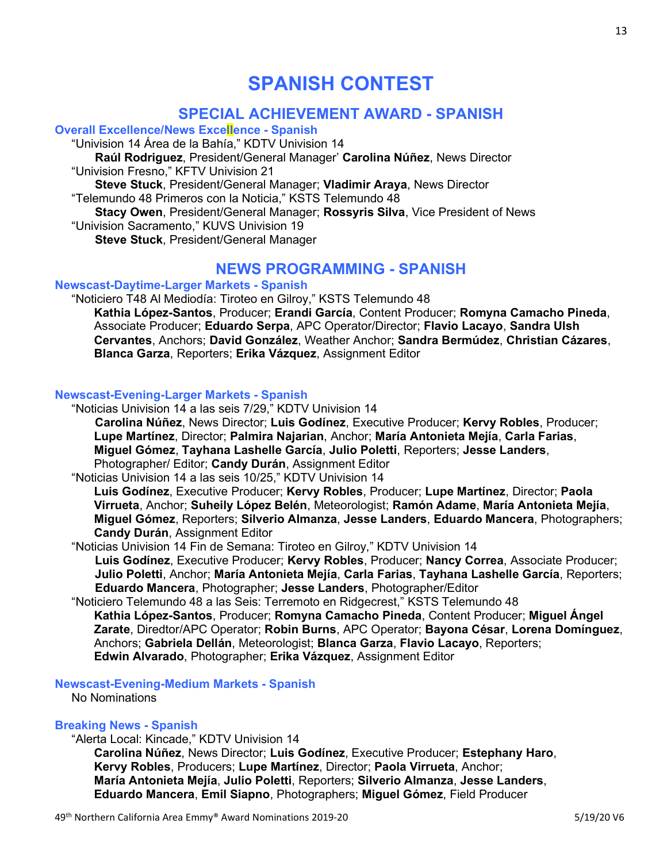# SPANISH CONTEST

# SPECIAL ACHIEVEMENT AWARD - SPANISH

Overall Excellence/News Excellence - Spanish

"Univision 14 Área de la Bahía," KDTV Univision 14

 Raúl Rodriguez, President/General Manager' Carolina Núñez, News Director "Univision Fresno," KFTV Univision 21

 Steve Stuck, President/General Manager; Vladimir Araya, News Director "Telemundo 48 Primeros con la Noticia," KSTS Telemundo 48

Stacy Owen, President/General Manager; Rossyris Silva, Vice President of News "Univision Sacramento," KUVS Univision 19

Steve Stuck, President/General Manager

# NEWS PROGRAMMING - SPANISH

# Newscast-Daytime-Larger Markets - Spanish

"Noticiero T48 Al Mediodía: Tiroteo en Gilroy," KSTS Telemundo 48

Kathia López-Santos, Producer; Erandi García, Content Producer; Romyna Camacho Pineda, Associate Producer; Eduardo Serpa, APC Operator/Director; Flavio Lacayo, Sandra Ulsh Cervantes, Anchors; David González, Weather Anchor; Sandra Bermúdez, Christian Cázares, Blanca Garza, Reporters; Erika Vázquez, Assignment Editor

# Newscast-Evening-Larger Markets - Spanish

 "Noticias Univision 14 a las seis 7/29," KDTV Univision 14 Carolina Núñez, News Director; Luis Godínez, Executive Producer; Kervy Robles, Producer; Lupe Martínez, Director; Palmira Najarian, Anchor; María Antonieta Mejía, Carla Farias, Miguel Gómez, Tayhana Lashelle García, Julio Poletti, Reporters; Jesse Landers, Photographer/ Editor; Candy Durán, Assignment Editor

"Noticias Univision 14 a las seis 10/25," KDTV Univision 14

Luis Godínez, Executive Producer; Kervy Robles, Producer; Lupe Martínez, Director; Paola Virrueta, Anchor; Suheily López Belén, Meteorologist; Ramón Adame, María Antonieta Mejía, Miguel Gómez, Reporters; Silverio Almanza, Jesse Landers, Eduardo Mancera, Photographers; Candy Durán, Assignment Editor

"Noticias Univision 14 Fin de Semana: Tiroteo en Gilroy," KDTV Univision 14

 Luis Godínez, Executive Producer; Kervy Robles, Producer; Nancy Correa, Associate Producer; Julio Poletti, Anchor; María Antonieta Mejía, Carla Farias, Tayhana Lashelle García, Reporters; Eduardo Mancera, Photographer; Jesse Landers, Photographer/Editor

 "Noticiero Telemundo 48 a las Seis: Terremoto en Ridgecrest," KSTS Telemundo 48 Kathia López-Santos, Producer; Romyna Camacho Pineda, Content Producer; Miguel Ángel Zarate, Diredtor/APC Operator; Robin Burns, APC Operator; Bayona César, Lorena Domínguez, Anchors; Gabriela Dellán, Meteorologist; Blanca Garza, Flavio Lacayo, Reporters; Edwin Alvarado, Photographer; Erika Vázquez, Assignment Editor

# Newscast-Evening-Medium Markets - Spanish

No Nominations

# Breaking News - Spanish

"Alerta Local: Kincade," KDTV Univision 14

Carolina Núñez, News Director; Luis Godínez, Executive Producer; Estephany Haro, Kervy Robles, Producers; Lupe Martínez, Director; Paola Virrueta, Anchor; María Antonieta Mejía, Julio Poletti, Reporters; Silverio Almanza, Jesse Landers, Eduardo Mancera, Emil Siapno, Photographers; Miguel Gómez, Field Producer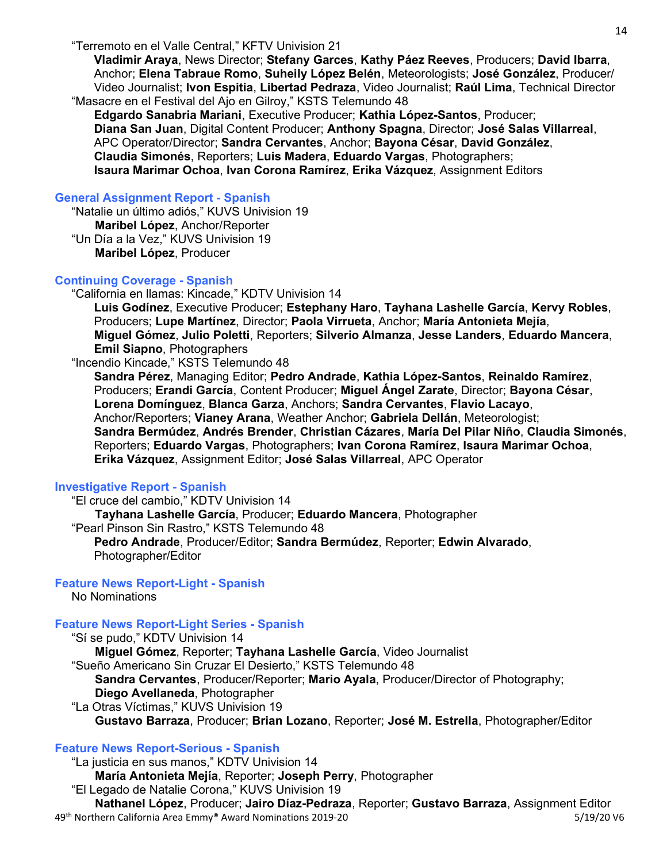Vladimir Araya, News Director; Stefany Garces, Kathy Páez Reeves, Producers; David Ibarra, Anchor; Elena Tabraue Romo, Suheily López Belén, Meteorologists; José González, Producer/ Video Journalist; Ivon Espitia, Libertad Pedraza, Video Journalist; Raúl Lima, Technical Director "Masacre en el Festival del Ajo en Gilroy," KSTS Telemundo 48

Edgardo Sanabria Mariani, Executive Producer; Kathia López-Santos, Producer; Diana San Juan, Digital Content Producer; Anthony Spagna, Director; José Salas Villarreal, APC Operator/Director; Sandra Cervantes, Anchor; Bayona César, David González, Claudia Simonés, Reporters; Luis Madera, Eduardo Vargas, Photographers; Isaura Marimar Ochoa, Ivan Corona Ramírez, Erika Vázquez, Assignment Editors

# General Assignment Report - Spanish

 "Natalie un último adiós," KUVS Univision 19 Maribel López, Anchor/Reporter "Un Día a la Vez," KUVS Univision 19 Maribel López, Producer

# Continuing Coverage - Spanish

"California en llamas: Kincade," KDTV Univision 14

Luis Godínez, Executive Producer; Estephany Haro, Tayhana Lashelle García, Kervy Robles, Producers; Lupe Martínez, Director; Paola Virrueta, Anchor; María Antonieta Mejía, Miguel Gómez, Julio Poletti, Reporters; Silverio Almanza, Jesse Landers, Eduardo Mancera, Emil Siapno, Photographers

"Incendio Kincade," KSTS Telemundo 48

Sandra Pérez, Managing Editor; Pedro Andrade, Kathia López-Santos, Reinaldo Ramírez, Producers; Erandi García, Content Producer; Miguel Ángel Zarate, Director; Bayona César, Lorena Domínguez, Blanca Garza, Anchors; Sandra Cervantes, Flavio Lacayo, Anchor/Reporters; Vianey Arana, Weather Anchor; Gabriela Dellán, Meteorologist; Sandra Bermúdez, Andrés Brender, Christian Cázares, María Del Pilar Niño, Claudia Simonés, Reporters; Eduardo Vargas, Photographers; Ivan Corona Ramírez, Isaura Marimar Ochoa, Erika Vázquez, Assignment Editor; José Salas Villarreal, APC Operator

# Investigative Report - Spanish

 "El cruce del cambio," KDTV Univision 14 Tayhana Lashelle García, Producer; Eduardo Mancera, Photographer "Pearl Pinson Sin Rastro," KSTS Telemundo 48 Pedro Andrade, Producer/Editor; Sandra Bermúdez, Reporter; Edwin Alvarado, Photographer/Editor

# Feature News Report-Light - Spanish

No Nominations

# Feature News Report-Light Series - Spanish

 "Sí se pudo," KDTV Univision 14 Miguel Gómez, Reporter; Tayhana Lashelle García, Video Journalist "Sueño Americano Sin Cruzar El Desierto," KSTS Telemundo 48 Sandra Cervantes, Producer/Reporter; Mario Ayala, Producer/Director of Photography; Diego Avellaneda, Photographer "La Otras Víctimas," KUVS Univision 19 Gustavo Barraza, Producer; Brian Lozano, Reporter; José M. Estrella, Photographer/Editor

# Feature News Report-Serious - Spanish

49<sup>th</sup> Northern California Area Emmy® Award Nominations 2019-20 5/19/20 5/19/20 V6 "La justicia en sus manos," KDTV Univision 14 María Antonieta Mejía, Reporter; Joseph Perry, Photographer "El Legado de Natalie Corona," KUVS Univision 19 Nathanel López, Producer; Jairo Díaz-Pedraza, Reporter; Gustavo Barraza, Assignment Editor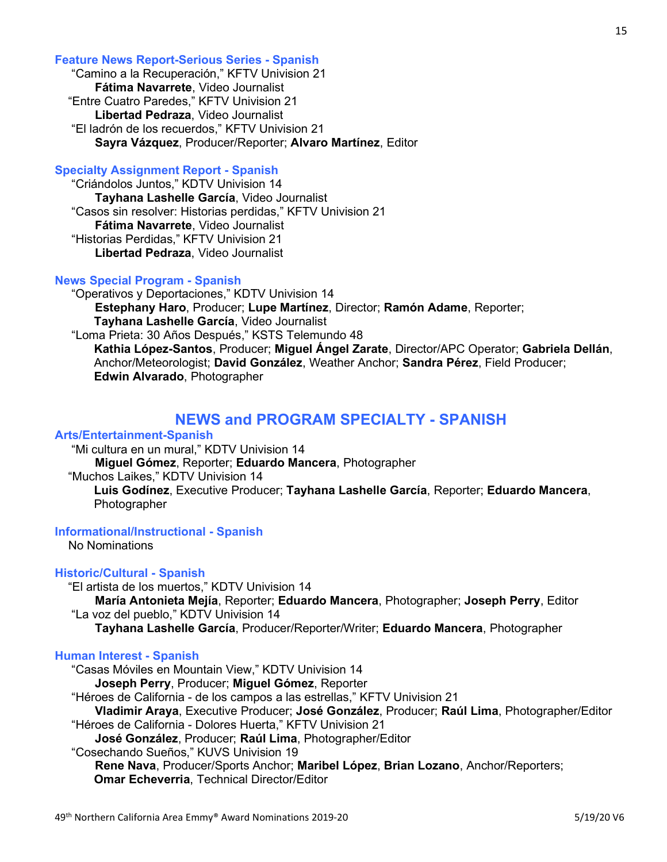### Feature News Report-Serious Series - Spanish

 "Camino a la Recuperación," KFTV Univision 21 Fátima Navarrete, Video Journalist "Entre Cuatro Paredes," KFTV Univision 21 Libertad Pedraza, Video Journalist "El ladrón de los recuerdos," KFTV Univision 21 Sayra Vázquez, Producer/Reporter; Alvaro Martínez, Editor

# Specialty Assignment Report - Spanish

 "Criándolos Juntos," KDTV Univision 14 Tayhana Lashelle García, Video Journalist "Casos sin resolver: Historias perdidas," KFTV Univision 21 Fátima Navarrete, Video Journalist "Historias Perdidas," KFTV Univision 21 Libertad Pedraza, Video Journalist

# News Special Program - Spanish

 "Operativos y Deportaciones," KDTV Univision 14 Estephany Haro, Producer; Lupe Martínez, Director; Ramón Adame, Reporter; Tayhana Lashelle García, Video Journalist "Loma Prieta: 30 Años Después," KSTS Telemundo 48 Kathia López-Santos, Producer; Miguel Ángel Zarate, Director/APC Operator; Gabriela Dellán, Anchor/Meteorologist; David González, Weather Anchor; Sandra Pérez, Field Producer; Edwin Alvarado, Photographer

# NEWS and PROGRAM SPECIALTY - SPANISH

# Arts/Entertainment-Spanish

"Mi cultura en un mural," KDTV Univision 14

Miguel Gómez, Reporter; Eduardo Mancera, Photographer

"Muchos Laikes," KDTV Univision 14

Luis Godínez, Executive Producer; Tayhana Lashelle García, Reporter; Eduardo Mancera, Photographer

Informational/Instructional - Spanish

No Nominations

# Historic/Cultural - Spanish

"El artista de los muertos," KDTV Univision 14

 María Antonieta Mejía, Reporter; Eduardo Mancera, Photographer; Joseph Perry, Editor "La voz del pueblo," KDTV Univision 14

Tayhana Lashelle García, Producer/Reporter/Writer; Eduardo Mancera, Photographer

# Human Interest - Spanish

 "Casas Móviles en Mountain View," KDTV Univision 14 Joseph Perry, Producer; Miguel Gómez, Reporter "Héroes de California - de los campos a las estrellas," KFTV Univision 21 Vladimir Araya, Executive Producer; José González, Producer; Raúl Lima, Photographer/Editor "Héroes de California - Dolores Huerta," KFTV Univision 21 José González, Producer; Raúl Lima, Photographer/Editor "Cosechando Sueños," KUVS Univision 19 Rene Nava, Producer/Sports Anchor; Maribel López, Brian Lozano, Anchor/Reporters; Omar Echeverria, Technical Director/Editor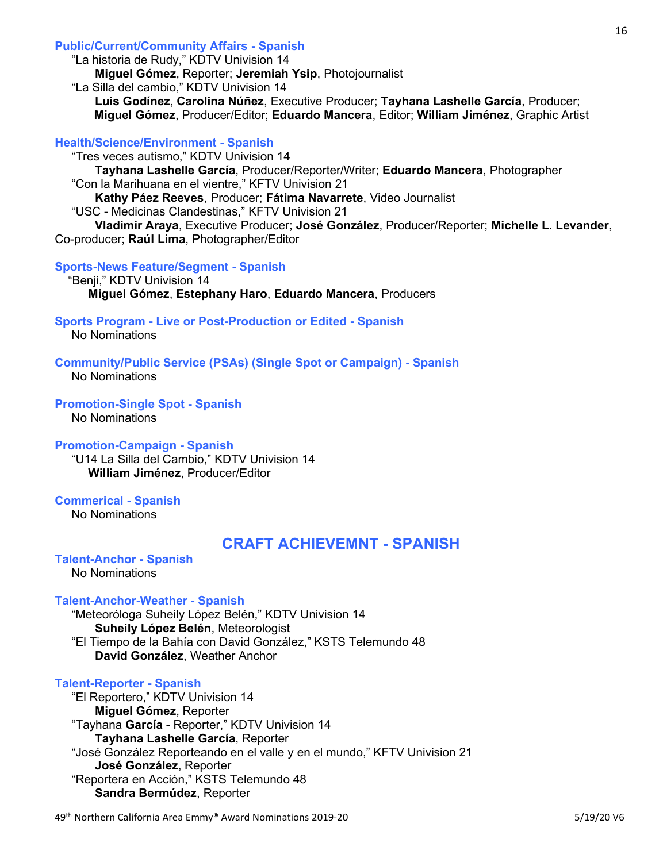# Public/Current/Community Affairs - Spanish

"La historia de Rudy," KDTV Univision 14

Miguel Gómez, Reporter; Jeremiah Ysip, Photojournalist

"La Silla del cambio," KDTV Univision 14

 Luis Godínez, Carolina Núñez, Executive Producer; Tayhana Lashelle García, Producer; Miguel Gómez, Producer/Editor; Eduardo Mancera, Editor; William Jiménez, Graphic Artist

# Health/Science/Environment - Spanish

 "Tres veces autismo," KDTV Univision 14 Tayhana Lashelle García, Producer/Reporter/Writer; Eduardo Mancera, Photographer "Con la Marihuana en el vientre," KFTV Univision 21

Kathy Páez Reeves, Producer; Fátima Navarrete, Video Journalist

"USC - Medicinas Clandestinas," KFTV Univision 21

 Vladimir Araya, Executive Producer; José González, Producer/Reporter; Michelle L. Levander, Co-producer; Raúl Lima, Photographer/Editor

# Sports-News Feature/Segment - Spanish

 "Benji," KDTV Univision 14 Miguel Gómez, Estephany Haro, Eduardo Mancera, Producers

# Sports Program - Live or Post-Production or Edited - Spanish

No Nominations

Community/Public Service (PSAs) (Single Spot or Campaign) - Spanish

No Nominations

Promotion-Single Spot - Spanish

# No Nominations

# Promotion-Campaign - Spanish

 "U14 La Silla del Cambio," KDTV Univision 14 William Jiménez, Producer/Editor

Commerical - Spanish No Nominations

# CRAFT ACHIEVEMNT - SPANISH

#### Talent-Anchor - Spanish No Nominations

# Talent-Anchor-Weather - Spanish

 "Meteoróloga Suheily López Belén," KDTV Univision 14 Suheily López Belén, Meteorologist "El Tiempo de la Bahía con David González," KSTS Telemundo 48 David González, Weather Anchor

# Talent-Reporter - Spanish

 "El Reportero," KDTV Univision 14 Miguel Gómez, Reporter "Tayhana García - Reporter," KDTV Univision 14 Tayhana Lashelle García, Reporter "José González Reporteando en el valle y en el mundo," KFTV Univision 21 José González, Reporter "Reportera en Acción," KSTS Telemundo 48 Sandra Bermúdez, Reporter